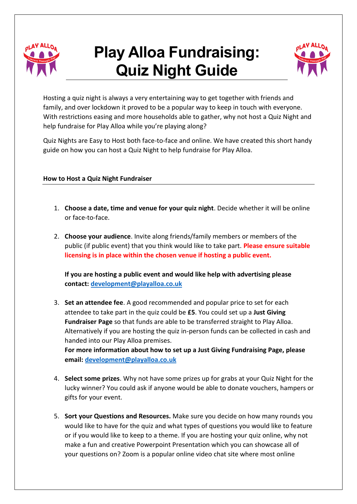

# **Play Alloa Fundraising: Quiz Night Guide**



Hosting a quiz night is always a very entertaining way to get together with friends and family, and over lockdown it proved to be a popular way to keep in touch with everyone. With restrictions easing and more households able to gather, why not host a Quiz Night and help fundraise for Play Alloa while you're playing along?

Quiz Nights are Easy to Host both face-to-face and online. We have created this short handy guide on how you can host a Quiz Night to help fundraise for Play Alloa.

### **How to Host a Quiz Night Fundraiser**

- 1. **Choose a date, time and venue for your quiz night**. Decide whether it will be online or face-to-face.
- 2. **Choose your audience**. Invite along friends/family members or members of the public (if public event) that you think would like to take part. **Please ensure suitable licensing is in place within the chosen venue if hosting a public event.**

**If you are hosting a public event and would like help with advertising please contact: [development@playalloa.co.uk](mailto:development@playalloa.co.uk)**

3. **Set an attendee fee**. A good recommended and popular price to set for each attendee to take part in the quiz could be **£5**. You could set up a **Just Giving Fundraiser Page** so that funds are able to be transferred straight to Play Alloa. Alternatively if you are hosting the quiz in-person funds can be collected in cash and handed into our Play Alloa premises. **For more information about how to set up a Just Giving Fundraising Page, please** 

**email: [development@playalloa.co.uk](mailto:development@playalloa.co.uk)**

- 4. **Select some prizes**. Why not have some prizes up for grabs at your Quiz Night for the lucky winner? You could ask if anyone would be able to donate vouchers, hampers or gifts for your event.
- 5. **Sort your Questions and Resources.** Make sure you decide on how many rounds you would like to have for the quiz and what types of questions you would like to feature or if you would like to keep to a theme. If you are hosting your quiz online, why not make a fun and creative Powerpoint Presentation which you can showcase all of your questions on? Zoom is a popular online video chat site where most online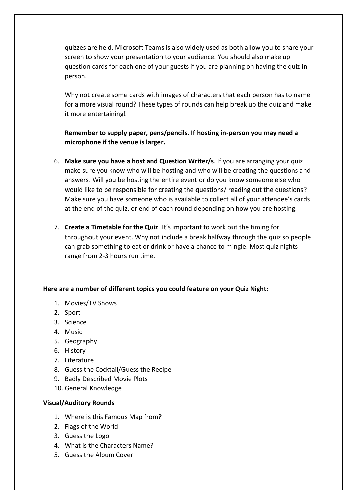quizzes are held. Microsoft Teams is also widely used as both allow you to share your screen to show your presentation to your audience. You should also make up question cards for each one of your guests if you are planning on having the quiz inperson.

Why not create some cards with images of characters that each person has to name for a more visual round? These types of rounds can help break up the quiz and make it more entertaining!

## **Remember to supply paper, pens/pencils. If hosting in-person you may need a microphone if the venue is larger.**

- 6. **Make sure you have a host and Question Writer/s**. If you are arranging your quiz make sure you know who will be hosting and who will be creating the questions and answers. Will you be hosting the entire event or do you know someone else who would like to be responsible for creating the questions/ reading out the questions? Make sure you have someone who is available to collect all of your attendee's cards at the end of the quiz, or end of each round depending on how you are hosting.
- 7. **Create a Timetable for the Quiz**. It's important to work out the timing for throughout your event. Why not include a break halfway through the quiz so people can grab something to eat or drink or have a chance to mingle. Most quiz nights range from 2-3 hours run time.

### **Here are a number of different topics you could feature on your Quiz Night:**

- 1. Movies/TV Shows
- 2. Sport
- 3. Science
- 4. Music
- 5. Geography
- 6. History
- 7. Literature
- 8. Guess the Cocktail/Guess the Recipe
- 9. Badly Described Movie Plots
- 10. General Knowledge

#### **Visual/Auditory Rounds**

- 1. Where is this Famous Map from?
- 2. Flags of the World
- 3. Guess the Logo
- 4. What is the Characters Name?
- 5. Guess the Album Cover